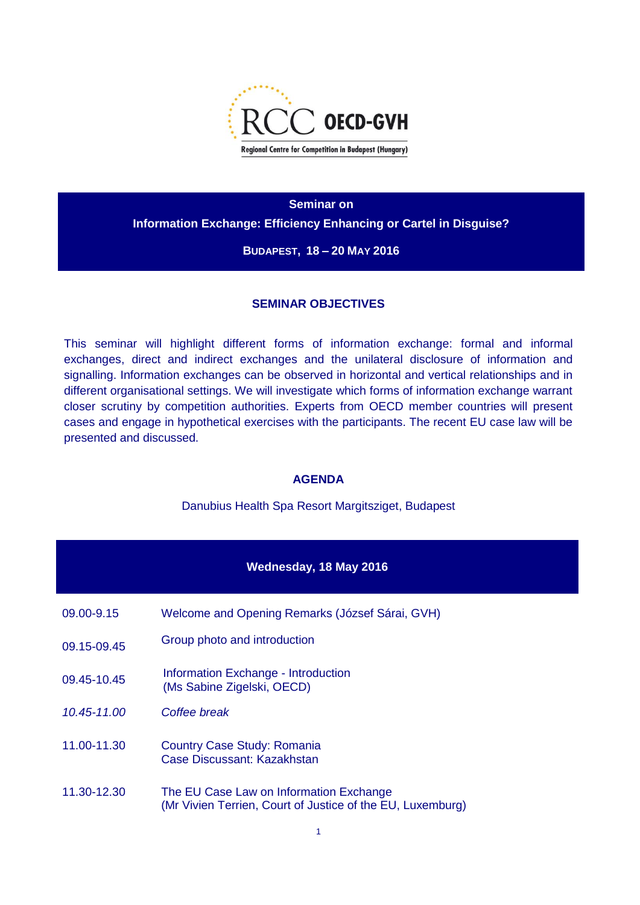

**Seminar on Information Exchange: Efficiency Enhancing or Cartel in Disguise?**

**BUDAPEST, 18 – 20 MAY 2016**

#### **SEMINAR OBJECTIVES**

This seminar will highlight different forms of information exchange: formal and informal exchanges, direct and indirect exchanges and the unilateral disclosure of information and signalling. Information exchanges can be observed in horizontal and vertical relationships and in different organisational settings. We will investigate which forms of information exchange warrant closer scrutiny by competition authorities. Experts from OECD member countries will present cases and engage in hypothetical exercises with the participants. The recent EU case law will be presented and discussed.

### **AGENDA**

Danubius Health Spa Resort Margitsziget, Budapest

|                 | Wednesday, 18 May 2016                                                                                |
|-----------------|-------------------------------------------------------------------------------------------------------|
| 09.00-9.15      | Welcome and Opening Remarks (József Sárai, GVH)                                                       |
| 09.15-09.45     | Group photo and introduction                                                                          |
| 09.45-10.45     | Information Exchange - Introduction<br>(Ms Sabine Zigelski, OECD)                                     |
| $10.45 - 11.00$ | Coffee break                                                                                          |
| 11.00-11.30     | <b>Country Case Study: Romania</b><br>Case Discussant: Kazakhstan                                     |
| 11.30-12.30     | The EU Case Law on Information Exchange<br>(Mr Vivien Terrien, Court of Justice of the EU, Luxemburg) |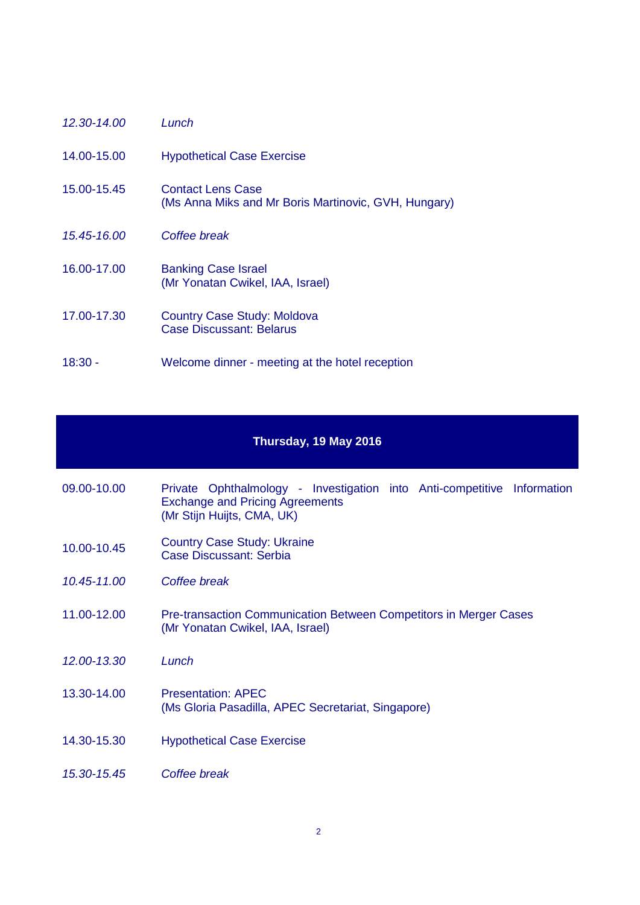| 12.30-14.00 | Lunch                                                                     |
|-------------|---------------------------------------------------------------------------|
| 14.00-15.00 | <b>Hypothetical Case Exercise</b>                                         |
| 15.00-15.45 | Contact Lens Case<br>(Ms Anna Miks and Mr Boris Martinovic, GVH, Hungary) |
| 15.45-16.00 | Coffee break                                                              |
| 16.00-17.00 | <b>Banking Case Israel</b><br>(Mr Yonatan Cwikel, IAA, Israel)            |
| 17.00-17.30 | <b>Country Case Study: Moldova</b><br><b>Case Discussant: Belarus</b>     |
| $18:30 -$   | Welcome dinner - meeting at the hotel reception                           |

## **Thursday, 19 May 2016**

| 09.00-10.00 | Private Ophthalmology - Investigation into Anti-competitive Information |  |  |
|-------------|-------------------------------------------------------------------------|--|--|
|             | <b>Exchange and Pricing Agreements</b>                                  |  |  |
|             | (Mr Stijn Huijts, CMA, UK)                                              |  |  |

- 10.00-10.45 Country Case Study: Ukraine Case Discussant: Serbia
- *10.45-11.00 Coffee break*
- 11.00-12.00 Pre-transaction Communication Between Competitors in Merger Cases (Mr Yonatan Cwikel, IAA, Israel)
- *12.00-13.30 Lunch*
- 13.30-14.00 Presentation: APEC (Ms Gloria Pasadilla, APEC Secretariat, Singapore)
- 14.30-15.30 Hypothetical Case Exercise
- *15.30-15.45 Coffee break*